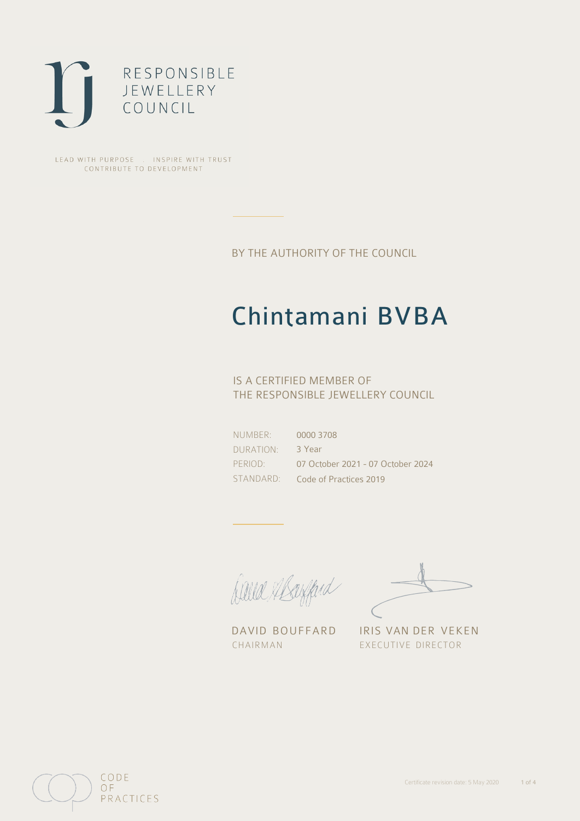

LEAD WITH PURPOSE . INSPIRE WITH TRUST CONTRIBUTE TO DEVELOPMENT

BY THE AUTHORITY OF THE COUNCIL

## Chintamani BVBA

### IS A CERTIFIED MEMBER OF THE RESPONSIBLE JEWELLERY COUNCIL

NUMBER: DURATION: PERIOD: STANDARD:

0000 3708 3 Year 07 October 2021 - 07 October 2024 Code of Practices 2019

Caux Margaret

DAVID BOUFFARD IRIS VAN DER VEKEN CHAIRMAN EXECUTIVE DIRECTOR

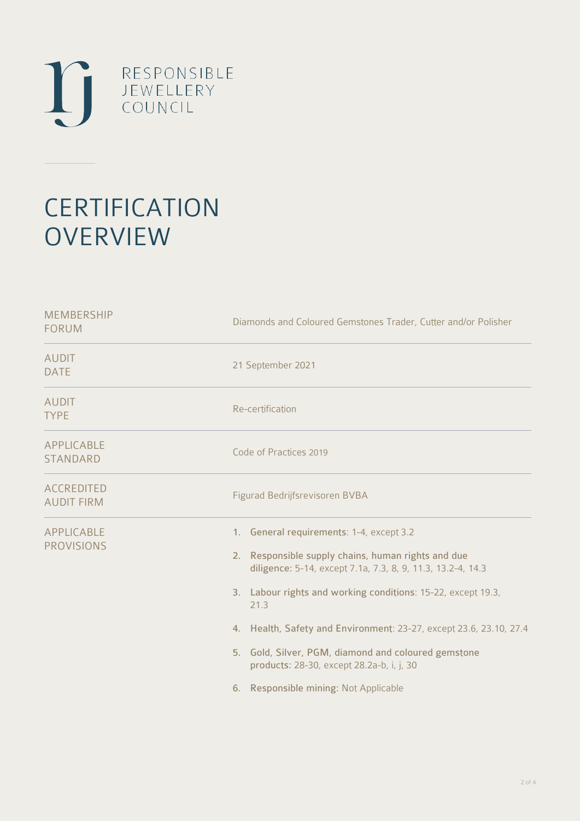

# **CERTIFICATION OVERVIEW**

| Diamonds and Coloured Gemstones Trader, Cutter and/or Polisher                                                                                                                                                                                                                                                                                                                                                                                              |
|-------------------------------------------------------------------------------------------------------------------------------------------------------------------------------------------------------------------------------------------------------------------------------------------------------------------------------------------------------------------------------------------------------------------------------------------------------------|
| 21 September 2021                                                                                                                                                                                                                                                                                                                                                                                                                                           |
| Re-certification                                                                                                                                                                                                                                                                                                                                                                                                                                            |
| Code of Practices 2019                                                                                                                                                                                                                                                                                                                                                                                                                                      |
| Figurad Bedrijfsrevisoren BVBA                                                                                                                                                                                                                                                                                                                                                                                                                              |
| 1. General requirements: 1-4, except 3.2<br>Responsible supply chains, human rights and due<br>2.<br>diligence: 5-14, except 7.1a, 7.3, 8, 9, 11.3, 13.2-4, 14.3<br>3. Labour rights and working conditions: 15-22, except 19.3,<br>21.3<br>4. Health, Safety and Environment: 23-27, except 23.6, 23.10, 27.4<br>5. Gold, Silver, PGM, diamond and coloured gemstone<br>products: 28-30, except 28.2a-b, i, j, 30<br>6. Responsible mining: Not Applicable |
|                                                                                                                                                                                                                                                                                                                                                                                                                                                             |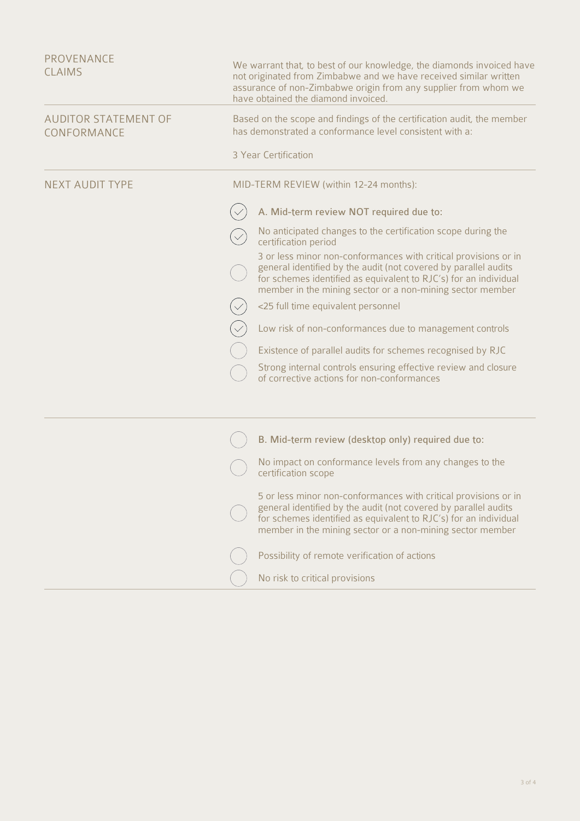| PROVENANCE<br><b>CLAIMS</b>                | We warrant that, to best of our knowledge, the diamonds invoiced have<br>not originated from Zimbabwe and we have received similar written<br>assurance of non-Zimbabwe origin from any supplier from whom we<br>have obtained the diamond invoiced.                |
|--------------------------------------------|---------------------------------------------------------------------------------------------------------------------------------------------------------------------------------------------------------------------------------------------------------------------|
| <b>AUDITOR STATEMENT OF</b><br>CONFORMANCE | Based on the scope and findings of the certification audit, the member<br>has demonstrated a conformance level consistent with a:                                                                                                                                   |
|                                            | 3 Year Certification                                                                                                                                                                                                                                                |
| <b>NEXT AUDIT TYPE</b>                     | MID-TERM REVIEW (within 12-24 months):                                                                                                                                                                                                                              |
|                                            | A. Mid-term review NOT required due to:                                                                                                                                                                                                                             |
|                                            | No anticipated changes to the certification scope during the<br>certification period                                                                                                                                                                                |
|                                            | 3 or less minor non-conformances with critical provisions or in<br>general identified by the audit (not covered by parallel audits<br>for schemes identified as equivalent to RJC's) for an individual<br>member in the mining sector or a non-mining sector member |
|                                            | <25 full time equivalent personnel                                                                                                                                                                                                                                  |
|                                            | Low risk of non-conformances due to management controls                                                                                                                                                                                                             |
|                                            | Existence of parallel audits for schemes recognised by RJC                                                                                                                                                                                                          |
|                                            | Strong internal controls ensuring effective review and closure<br>of corrective actions for non-conformances                                                                                                                                                        |
|                                            |                                                                                                                                                                                                                                                                     |
|                                            | B. Mid-term review (desktop only) required due to:                                                                                                                                                                                                                  |
|                                            | No impact on conformance levels from any changes to the<br>certification scope                                                                                                                                                                                      |
|                                            | 5 or less minor non-conformances with critical provisions or in<br>general identified by the audit (not covered by parallel audits<br>for schemes identified as equivalent to RJC's) for an individual<br>member in the mining sector or a non-mining sector member |
|                                            | Possibility of remote verification of actions                                                                                                                                                                                                                       |
|                                            | No risk to critical provisions                                                                                                                                                                                                                                      |